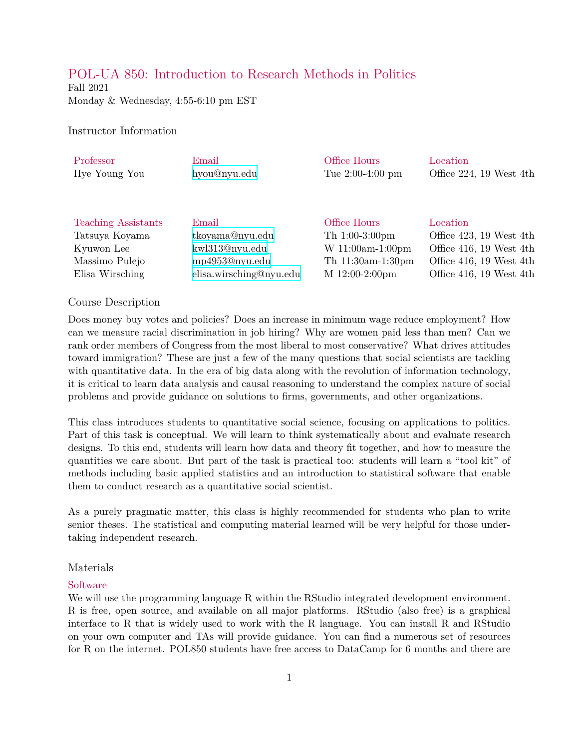# POL-UA 850: Introduction to Research Methods in Politics

Fall 2021 Monday & Wednesday, 4:55-6:10 pm EST

### Instructor Information

| Professor                  | Email                   | Office Hours       | Location                     |
|----------------------------|-------------------------|--------------------|------------------------------|
| Hye Young You              | hyou@nyu.edu            | Tue $2:00-4:00$ pm | Office $224$ , 19 West $4th$ |
|                            |                         |                    |                              |
|                            |                         |                    |                              |
|                            |                         |                    |                              |
| <b>Teaching Assistants</b> | Email                   | Office Hours       | Location                     |
| Tatsuya Koyama             | tkoyama@nyu.edu         | Th $1:00-3:00$ pm  | Office 423, 19 West 4th      |
| Kyuwon Lee                 | kwl313@nyu.edu          | $W 11:00am-1:00pm$ | Office 416, 19 West 4th      |
| Massimo Pulejo             | mp4953@nyu.edu          | Th 11:30am-1:30pm  | Office 416, 19 West 4th      |
| Elisa Wirsching            | elisa.wirsching@nyu.edu | M 12:00-2:00pm     | Office 416, 19 West 4th      |
|                            |                         |                    |                              |

#### Course Description

Does money buy votes and policies? Does an increase in minimum wage reduce employment? How can we measure racial discrimination in job hiring? Why are women paid less than men? Can we rank order members of Congress from the most liberal to most conservative? What drives attitudes toward immigration? These are just a few of the many questions that social scientists are tackling with quantitative data. In the era of big data along with the revolution of information technology, it is critical to learn data analysis and causal reasoning to understand the complex nature of social problems and provide guidance on solutions to firms, governments, and other organizations.

This class introduces students to quantitative social science, focusing on applications to politics. Part of this task is conceptual. We will learn to think systematically about and evaluate research designs. To this end, students will learn how data and theory fit together, and how to measure the quantities we care about. But part of the task is practical too: students will learn a "tool kit" of methods including basic applied statistics and an introduction to statistical software that enable them to conduct research as a quantitative social scientist.

As a purely pragmatic matter, this class is highly recommended for students who plan to write senior theses. The statistical and computing material learned will be very helpful for those undertaking independent research.

#### Materials

#### Software

We will use the programming language R within the RStudio integrated development environment. R is free, open source, and available on all major platforms. RStudio (also free) is a graphical interface to R that is widely used to work with the R language. You can install R and RStudio on your own computer and TAs will provide guidance. You can find a numerous set of resources for R on the internet. POL850 students have free access to DataCamp for 6 months and there are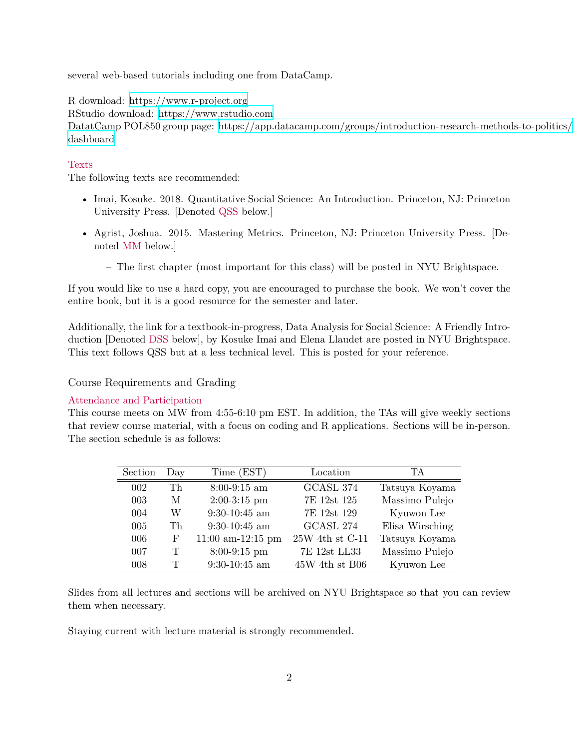several web-based tutorials including one from DataCamp.

R download: <https://www.r-project.org>

RStudio download: <https://www.rstudio.com>

DatatCamp POL850 group page: [https://app.datacamp.com/groups/introduction-research-methods-to-politics/](https://app.datacamp.com/groups/introduction-research-methods-to-politics/dashboard) [dashboard](https://app.datacamp.com/groups/introduction-research-methods-to-politics/dashboard)

## Texts

The following texts are recommended:

- Imai, Kosuke. 2018. Quantitative Social Science: An Introduction. Princeton, NJ: Princeton University Press. [Denoted QSS below.]
- Agrist, Joshua. 2015. Mastering Metrics. Princeton, NJ: Princeton University Press. [Denoted MM below.]
	- The first chapter (most important for this class) will be posted in NYU Brightspace.

If you would like to use a hard copy, you are encouraged to purchase the book. We won't cover the entire book, but it is a good resource for the semester and later.

Additionally, the link for a textbook-in-progress, Data Analysis for Social Science: A Friendly Introduction [Denoted DSS below], by Kosuke Imai and Elena Llaudet are posted in NYU Brightspace. This text follows QSS but at a less technical level. This is posted for your reference.

Course Requirements and Grading

#### Attendance and Participation

This course meets on MW from 4:55-6:10 pm EST. In addition, the TAs will give weekly sections that review course material, with a focus on coding and R applications. Sections will be in-person. The section schedule is as follows:

| Section | Day           | Time (EST)          | Location            | TА              |
|---------|---------------|---------------------|---------------------|-----------------|
| 002     | Th            | $8:00-9:15$ am      | GCASL 374           | Tatsuya Koyama  |
| 003     | M             | $2:00-3:15$ pm      | 7E 12st 125         | Massimo Pulejo  |
| 004     | W             | $9:30-10:45$ am     | 7E 12st 129         | Kyuwon Lee      |
| 005     | Th            | $9:30-10:45$ am     | GCASL 274           | Elisa Wirsching |
| 006     | F             | $11:00$ am-12:15 pm | $25W$ 4th st $C-11$ | Tatsuya Koyama  |
| 007     | $\mathbf T$   | $8:00-9:15$ pm      | 7E 12st LL33        | Massimo Pulejo  |
| 008     | $\mathcal{T}$ | $9:30-10:45$ am     | $45W$ 4th st B06    | Kyuwon Lee      |

Slides from all lectures and sections will be archived on NYU Brightspace so that you can review them when necessary.

Staying current with lecture material is strongly recommended.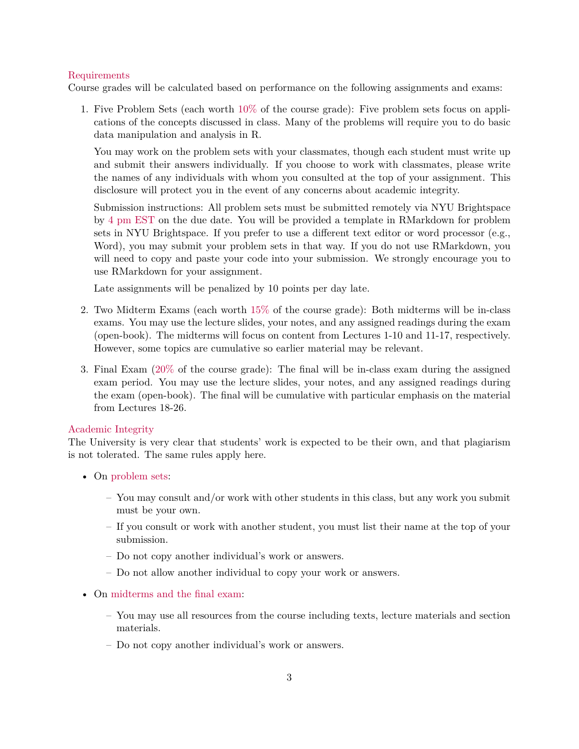### Requirements

Course grades will be calculated based on performance on the following assignments and exams:

1. Five Problem Sets (each worth 10% of the course grade): Five problem sets focus on applications of the concepts discussed in class. Many of the problems will require you to do basic data manipulation and analysis in R.

You may work on the problem sets with your classmates, though each student must write up and submit their answers individually. If you choose to work with classmates, please write the names of any individuals with whom you consulted at the top of your assignment. This disclosure will protect you in the event of any concerns about academic integrity.

Submission instructions: All problem sets must be submitted remotely via NYU Brightspace by 4 pm EST on the due date. You will be provided a template in RMarkdown for problem sets in NYU Brightspace. If you prefer to use a different text editor or word processor (e.g., Word), you may submit your problem sets in that way. If you do not use RMarkdown, you will need to copy and paste your code into your submission. We strongly encourage you to use RMarkdown for your assignment.

Late assignments will be penalized by 10 points per day late.

- 2. Two Midterm Exams (each worth 15% of the course grade): Both midterms will be in-class exams. You may use the lecture slides, your notes, and any assigned readings during the exam (open-book). The midterms will focus on content from Lectures 1-10 and 11-17, respectively. However, some topics are cumulative so earlier material may be relevant.
- 3. Final Exam (20% of the course grade): The final will be in-class exam during the assigned exam period. You may use the lecture slides, your notes, and any assigned readings during the exam (open-book). The final will be cumulative with particular emphasis on the material from Lectures 18-26.

#### Academic Integrity

The University is very clear that students' work is expected to be their own, and that plagiarism is not tolerated. The same rules apply here.

- On problem sets:
	- You may consult and/or work with other students in this class, but any work you submit must be your own.
	- If you consult or work with another student, you must list their name at the top of your submission.
	- Do not copy another individual's work or answers.
	- Do not allow another individual to copy your work or answers.
- On midterms and the final exam:
	- You may use all resources from the course including texts, lecture materials and section materials.
	- Do not copy another individual's work or answers.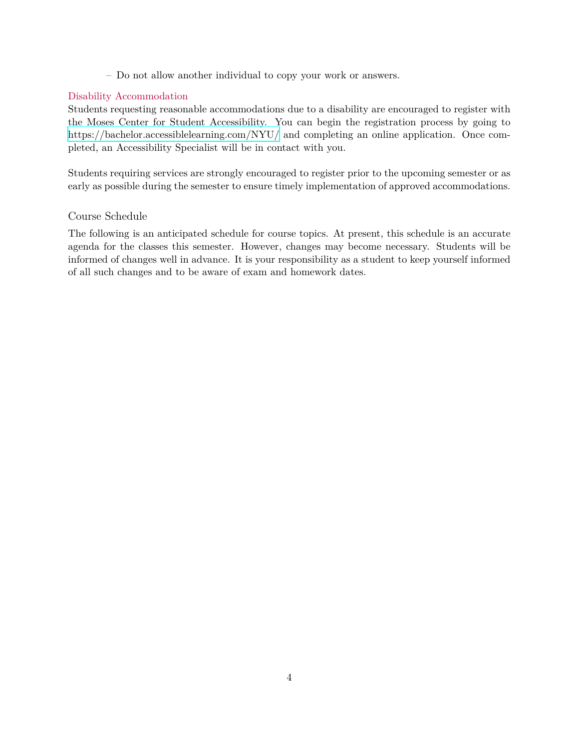– Do not allow another individual to copy your work or answers.

## Disability Accommodation

Students requesting reasonable accommodations due to a disability are encouraged to register with the Moses Center for Student Accessibility. You can begin the registration process by going to <https://bachelor.accessiblelearning.com/NYU/> and completing an online application. Once completed, an Accessibility Specialist will be in contact with you.

Students requiring services are strongly encouraged to register prior to the upcoming semester or as early as possible during the semester to ensure timely implementation of approved accommodations.

## Course Schedule

The following is an anticipated schedule for course topics. At present, this schedule is an accurate agenda for the classes this semester. However, changes may become necessary. Students will be informed of changes well in advance. It is your responsibility as a student to keep yourself informed of all such changes and to be aware of exam and homework dates.